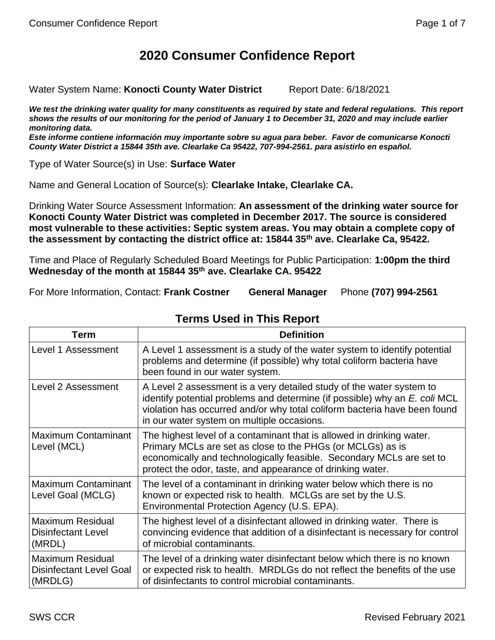# **2020 Consumer Confidence Report**

Water System Name: Konocti County Water District Report Date: 6/18/2021

We test the drinking water quality for many constituents as required by state and federal regulations. This report *shows the results of our monitoring for the period of January 1 to December 31, 2020 and may include earlier monitoring data.*

*Este informe contiene información muy importante sobre su agua para beber. Favor de comunicarse Konocti County Water District a 15844 35th ave. Clearlake Ca 95422, 707-994-2561. para asistirlo en español.*

Type of Water Source(s) in Use: **Surface Water**

Name and General Location of Source(s): **Clearlake Intake, Clearlake CA.**

Drinking Water Source Assessment Information: **An assessment of the drinking water source for Konocti County Water District was completed in December 2017. The source is considered most vulnerable to these activities: Septic system areas. You may obtain a complete copy of the assessment by contacting the district office at: 15844 35th ave. Clearlake Ca, 95422.**

Time and Place of Regularly Scheduled Board Meetings for Public Participation: **1:00pm the third Wednesday of the month at 15844 35th ave. Clearlake CA. 95422**

For More Information, Contact: **Frank Costner General Manager** Phone **(707) 994-2561**

| Term                                                                 | <b>Definition</b>                                                                                                                                                                                                                                                             |
|----------------------------------------------------------------------|-------------------------------------------------------------------------------------------------------------------------------------------------------------------------------------------------------------------------------------------------------------------------------|
| Level 1 Assessment                                                   | A Level 1 assessment is a study of the water system to identify potential<br>problems and determine (if possible) why total coliform bacteria have<br>been found in our water system.                                                                                         |
| Level 2 Assessment                                                   | A Level 2 assessment is a very detailed study of the water system to<br>identify potential problems and determine (if possible) why an E. coli MCL<br>violation has occurred and/or why total coliform bacteria have been found<br>in our water system on multiple occasions. |
| <b>Maximum Contaminant</b><br>Level (MCL)                            | The highest level of a contaminant that is allowed in drinking water.<br>Primary MCLs are set as close to the PHGs (or MCLGs) as is<br>economically and technologically feasible. Secondary MCLs are set to<br>protect the odor, taste, and appearance of drinking water.     |
| <b>Maximum Contaminant</b><br>Level Goal (MCLG)                      | The level of a contaminant in drinking water below which there is no<br>known or expected risk to health. MCLGs are set by the U.S.<br>Environmental Protection Agency (U.S. EPA).                                                                                            |
| Maximum Residual<br><b>Disinfectant Level</b><br>(MRDL)              | The highest level of a disinfectant allowed in drinking water. There is<br>convincing evidence that addition of a disinfectant is necessary for control<br>of microbial contaminants.                                                                                         |
| <b>Maximum Residual</b><br><b>Disinfectant Level Goal</b><br>(MRDLG) | The level of a drinking water disinfectant below which there is no known<br>or expected risk to health. MRDLGs do not reflect the benefits of the use<br>of disinfectants to control microbial contaminants.                                                                  |

## **Terms Used in This Report**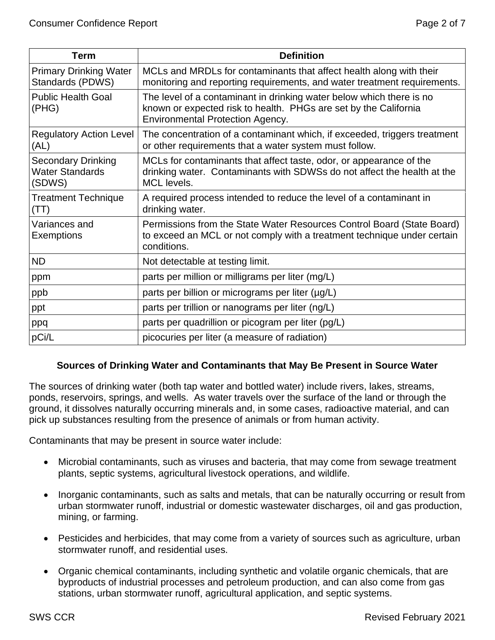| Term                                                          | <b>Definition</b>                                                                                                                                                                   |
|---------------------------------------------------------------|-------------------------------------------------------------------------------------------------------------------------------------------------------------------------------------|
| <b>Primary Drinking Water</b><br>Standards (PDWS)             | MCLs and MRDLs for contaminants that affect health along with their<br>monitoring and reporting requirements, and water treatment requirements.                                     |
| <b>Public Health Goal</b><br>(PHG)                            | The level of a contaminant in drinking water below which there is no<br>known or expected risk to health. PHGs are set by the California<br><b>Environmental Protection Agency.</b> |
| <b>Regulatory Action Level</b><br>(AL)                        | The concentration of a contaminant which, if exceeded, triggers treatment<br>or other requirements that a water system must follow.                                                 |
| <b>Secondary Drinking</b><br><b>Water Standards</b><br>(SDWS) | MCLs for contaminants that affect taste, odor, or appearance of the<br>drinking water. Contaminants with SDWSs do not affect the health at the<br>MCL levels.                       |
| <b>Treatment Technique</b><br>(TT)                            | A required process intended to reduce the level of a contaminant in<br>drinking water.                                                                                              |
| Variances and<br>Exemptions                                   | Permissions from the State Water Resources Control Board (State Board)<br>to exceed an MCL or not comply with a treatment technique under certain<br>conditions.                    |
| <b>ND</b>                                                     | Not detectable at testing limit.                                                                                                                                                    |
| ppm                                                           | parts per million or milligrams per liter (mg/L)                                                                                                                                    |
| ppb                                                           | parts per billion or micrograms per liter (µg/L)                                                                                                                                    |
| ppt                                                           | parts per trillion or nanograms per liter (ng/L)                                                                                                                                    |
| ppq                                                           | parts per quadrillion or picogram per liter (pg/L)                                                                                                                                  |
| pCi/L                                                         | picocuries per liter (a measure of radiation)                                                                                                                                       |

#### **Sources of Drinking Water and Contaminants that May Be Present in Source Water**

The sources of drinking water (both tap water and bottled water) include rivers, lakes, streams, ponds, reservoirs, springs, and wells. As water travels over the surface of the land or through the ground, it dissolves naturally occurring minerals and, in some cases, radioactive material, and can pick up substances resulting from the presence of animals or from human activity.

Contaminants that may be present in source water include:

- Microbial contaminants, such as viruses and bacteria, that may come from sewage treatment plants, septic systems, agricultural livestock operations, and wildlife.
- Inorganic contaminants, such as salts and metals, that can be naturally occurring or result from urban stormwater runoff, industrial or domestic wastewater discharges, oil and gas production, mining, or farming.
- Pesticides and herbicides, that may come from a variety of sources such as agriculture, urban stormwater runoff, and residential uses.
- Organic chemical contaminants, including synthetic and volatile organic chemicals, that are byproducts of industrial processes and petroleum production, and can also come from gas stations, urban stormwater runoff, agricultural application, and septic systems.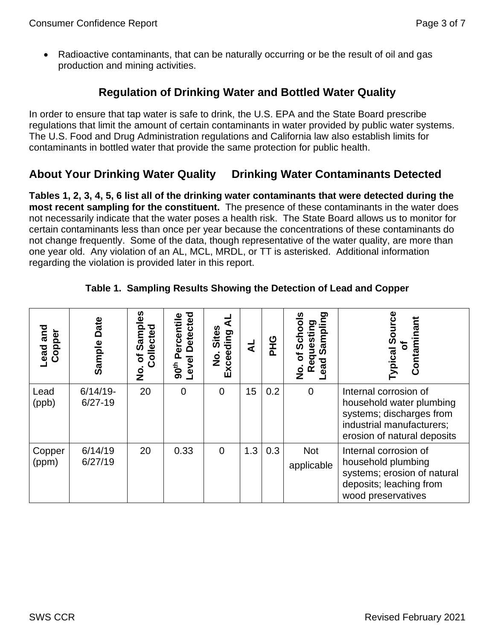• Radioactive contaminants, that can be naturally occurring or be the result of oil and gas production and mining activities.

## **Regulation of Drinking Water and Bottled Water Quality**

In order to ensure that tap water is safe to drink, the U.S. EPA and the State Board prescribe regulations that limit the amount of certain contaminants in water provided by public water systems. The U.S. Food and Drug Administration regulations and California law also establish limits for contaminants in bottled water that provide the same protection for public health.

# **About Your Drinking Water Quality Drinking Water Contaminants Detected**

**Tables 1, 2, 3, 4, 5, 6 list all of the drinking water contaminants that were detected during the most recent sampling for the constituent.** The presence of these contaminants in the water does not necessarily indicate that the water poses a health risk. The State Board allows us to monitor for certain contaminants less than once per year because the concentrations of these contaminants do not change frequently. Some of the data, though representative of the water quality, are more than one year old. Any violation of an AL, MCL, MRDL, or TT is asterisked. Additional information regarding the violation is provided later in this report.

| and<br>Copper<br><b>Lead</b> | Date<br>Sample           | ທ<br>Sampl<br>Collected<br>৳<br><u>ي</u> | <b>Detected</b><br>ercentile<br>Level<br>90 <sup>th</sup> | <b>Sites</b><br>Exceeding<br>$\dot{\mathbf{z}}$ | ₹   | <b>DHG</b> | ත<br>σ,<br>n<br>E<br>ぁ<br>æ<br>ㅎ<br>ead<br>œ<br>o<br>Z | Contaminant<br>ر<br>ၷ<br>ঌ<br>ypical                                                                                                      |
|------------------------------|--------------------------|------------------------------------------|-----------------------------------------------------------|-------------------------------------------------|-----|------------|--------------------------------------------------------|-------------------------------------------------------------------------------------------------------------------------------------------|
| Lead<br>(ppb)                | $6/14/19$ -<br>$6/27-19$ | 20                                       | $\overline{0}$                                            | $\overline{0}$                                  | 15  | 0.2        | $\mathbf 0$                                            | Internal corrosion of<br>household water plumbing<br>systems; discharges from<br>industrial manufacturers;<br>erosion of natural deposits |
| Copper<br>(ppm)              | 6/14/19<br>6/27/19       | 20                                       | 0.33                                                      | $\overline{0}$                                  | 1.3 | 0.3        | <b>Not</b><br>applicable                               | Internal corrosion of<br>household plumbing<br>systems; erosion of natural<br>deposits; leaching from<br>wood preservatives               |

#### **Table 1. Sampling Results Showing the Detection of Lead and Copper**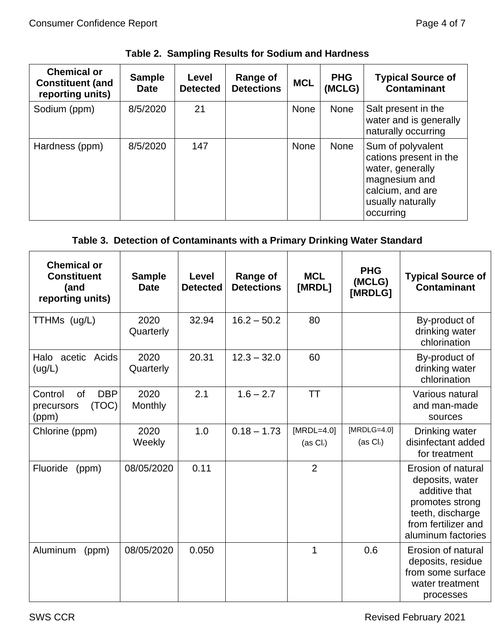| <b>Chemical or</b><br><b>Constituent (and</b><br>reporting units) | <b>Sample</b><br><b>Date</b> | Level<br><b>Detected</b> | Range of<br><b>Detections</b> | <b>MCL</b>  | <b>PHG</b><br>(MCLG) | <b>Typical Source of</b><br><b>Contaminant</b>                                                                                         |
|-------------------------------------------------------------------|------------------------------|--------------------------|-------------------------------|-------------|----------------------|----------------------------------------------------------------------------------------------------------------------------------------|
| Sodium (ppm)                                                      | 8/5/2020                     | 21                       |                               | <b>None</b> | <b>None</b>          | Salt present in the<br>water and is generally<br>naturally occurring                                                                   |
| Hardness (ppm)                                                    | 8/5/2020                     | 147                      |                               | <b>None</b> | <b>None</b>          | Sum of polyvalent<br>cations present in the<br>water, generally<br>magnesium and<br>calcium, and are<br>usually naturally<br>occurring |

## **Table 2. Sampling Results for Sodium and Hardness**

## **Table 3. Detection of Contaminants with a Primary Drinking Water Standard**

| <b>Chemical or</b><br><b>Constituent</b><br>(and<br>reporting units) | <b>Sample</b><br><b>Date</b> | Level<br><b>Detected</b> | <b>Range of</b><br><b>Detections</b> | <b>MCL</b><br>[MRDL]         | <b>PHG</b><br>(MCLG)<br>[MRDLG] | <b>Typical Source of</b><br><b>Contaminant</b>                                                                                             |
|----------------------------------------------------------------------|------------------------------|--------------------------|--------------------------------------|------------------------------|---------------------------------|--------------------------------------------------------------------------------------------------------------------------------------------|
| TTHMs (ug/L)                                                         | 2020<br>Quarterly            | 32.94                    | $16.2 - 50.2$                        | 80                           |                                 | By-product of<br>drinking water<br>chlorination                                                                                            |
| acetic Acids<br>Halo<br>(ug/L)                                       | 2020<br>Quarterly            | 20.31                    | $12.3 - 32.0$                        | 60                           |                                 | By-product of<br>drinking water<br>chlorination                                                                                            |
| <b>DBP</b><br>of<br>Control<br>(TOC)<br>precursors<br>(ppm)          | 2020<br><b>Monthly</b>       | 2.1                      | $1.6 - 2.7$                          | <b>TT</b>                    |                                 | Various natural<br>and man-made<br>sources                                                                                                 |
| Chlorine (ppm)                                                       | 2020<br>Weekly               | 1.0                      | $0.18 - 1.73$                        | [ $MRDL=4.0$ ]<br>$(as Cl2)$ | $[MRDLG=4.0]$<br>$(as Cl2)$     | Drinking water<br>disinfectant added<br>for treatment                                                                                      |
| <b>Fluoride</b><br>(ppm)                                             | 08/05/2020                   | 0.11                     |                                      | $\overline{2}$               |                                 | Erosion of natural<br>deposits, water<br>additive that<br>promotes strong<br>teeth, discharge<br>from fertilizer and<br>aluminum factories |
| Aluminum<br>(ppm)                                                    | 08/05/2020                   | 0.050                    |                                      | 1                            | 0.6                             | Erosion of natural<br>deposits, residue<br>from some surface<br>water treatment<br>processes                                               |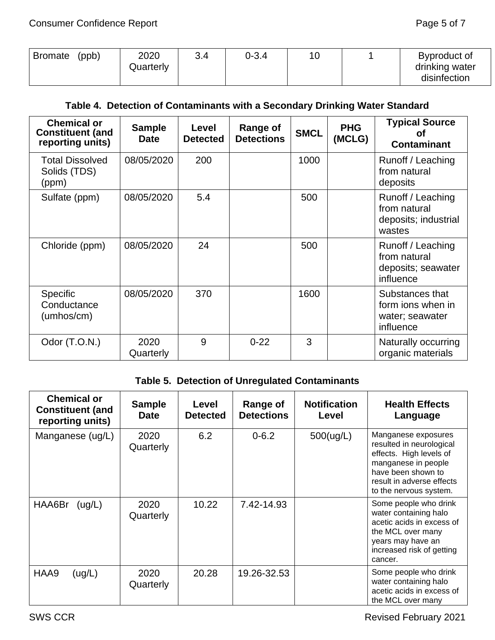| (ppb)<br><b>Bromate</b> | 2020<br>Quarterly | 3.4 | 0-3.4 | 10 |  | Byproduct of<br>drinking water<br>disinfection |
|-------------------------|-------------------|-----|-------|----|--|------------------------------------------------|
|-------------------------|-------------------|-----|-------|----|--|------------------------------------------------|

## **Table 4. Detection of Contaminants with a Secondary Drinking Water Standard**

| <b>Chemical or</b><br><b>Constituent (and</b><br>reporting units) | <b>Sample</b><br><b>Date</b> | Level<br><b>Detected</b> | Range of<br><b>Detections</b> | <b>SMCL</b> | <b>PHG</b><br>(MCLG) | <b>Typical Source</b><br>Οt<br><b>Contaminant</b>                    |
|-------------------------------------------------------------------|------------------------------|--------------------------|-------------------------------|-------------|----------------------|----------------------------------------------------------------------|
| <b>Total Dissolved</b><br>Solids (TDS)<br>(ppm)                   | 08/05/2020                   | 200                      |                               | 1000        |                      | Runoff / Leaching<br>from natural<br>deposits                        |
| Sulfate (ppm)                                                     | 08/05/2020                   | 5.4                      |                               | 500         |                      | Runoff / Leaching<br>from natural<br>deposits; industrial<br>wastes  |
| Chloride (ppm)                                                    | 08/05/2020                   | 24                       |                               | 500         |                      | Runoff / Leaching<br>from natural<br>deposits; seawater<br>influence |
| <b>Specific</b><br>Conductance<br>(umhos/cm)                      | 08/05/2020                   | 370                      |                               | 1600        |                      | Substances that<br>form jons when in<br>water; seawater<br>influence |
| Odor (T.O.N.)                                                     | 2020<br>Quarterly            | 9                        | $0 - 22$                      | 3           |                      | Naturally occurring<br>organic materials                             |

# **Table 5. Detection of Unregulated Contaminants**

| <b>Chemical or</b><br><b>Constituent (and</b><br>reporting units) | <b>Sample</b><br><b>Date</b> | Level<br><b>Detected</b> | Range of<br><b>Detections</b> | <b>Notification</b><br>Level | <b>Health Effects</b><br>Language                                                                                                                                              |
|-------------------------------------------------------------------|------------------------------|--------------------------|-------------------------------|------------------------------|--------------------------------------------------------------------------------------------------------------------------------------------------------------------------------|
| Manganese (ug/L)                                                  | 2020<br>Quarterly            | 6.2                      | $0 - 6.2$                     | 500(ug/L)                    | Manganese exposures<br>resulted in neurological<br>effects. High levels of<br>manganese in people<br>have been shown to<br>result in adverse effects<br>to the nervous system. |
| HAA6Br<br>(ug/L)                                                  | 2020<br>Quarterly            | 10.22                    | 7.42-14.93                    |                              | Some people who drink<br>water containing halo<br>acetic acids in excess of<br>the MCL over many<br>years may have an<br>increased risk of getting<br>cancer.                  |
| HAA9<br>(ug/L)                                                    | 2020<br>Quarterly            | 20.28                    | 19.26-32.53                   |                              | Some people who drink<br>water containing halo<br>acetic acids in excess of<br>the MCL over many                                                                               |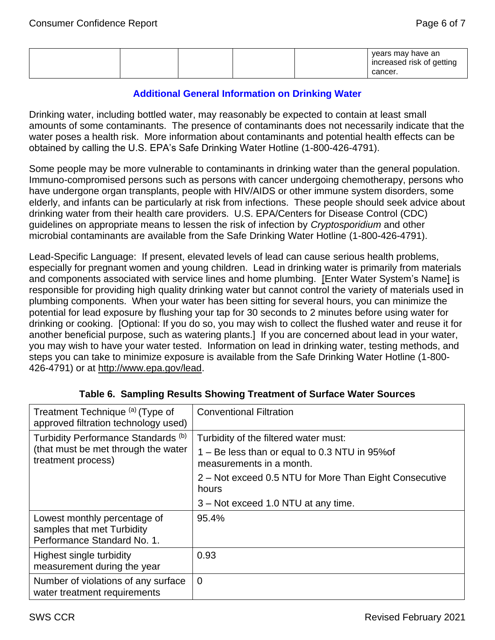|  |  |  |  |  | years may have an<br>increased risk of getting<br>cancer. |
|--|--|--|--|--|-----------------------------------------------------------|
|--|--|--|--|--|-----------------------------------------------------------|

#### **Additional General Information on Drinking Water**

Drinking water, including bottled water, may reasonably be expected to contain at least small amounts of some contaminants. The presence of contaminants does not necessarily indicate that the water poses a health risk. More information about contaminants and potential health effects can be obtained by calling the U.S. EPA's Safe Drinking Water Hotline (1-800-426-4791).

Some people may be more vulnerable to contaminants in drinking water than the general population. Immuno-compromised persons such as persons with cancer undergoing chemotherapy, persons who have undergone organ transplants, people with HIV/AIDS or other immune system disorders, some elderly, and infants can be particularly at risk from infections. These people should seek advice about drinking water from their health care providers. U.S. EPA/Centers for Disease Control (CDC) guidelines on appropriate means to lessen the risk of infection by *Cryptosporidium* and other microbial contaminants are available from the Safe Drinking Water Hotline (1-800-426-4791).

Lead-Specific Language: If present, elevated levels of lead can cause serious health problems, especially for pregnant women and young children. Lead in drinking water is primarily from materials and components associated with service lines and home plumbing. [Enter Water System's Name] is responsible for providing high quality drinking water but cannot control the variety of materials used in plumbing components. When your water has been sitting for several hours, you can minimize the potential for lead exposure by flushing your tap for 30 seconds to 2 minutes before using water for drinking or cooking. [Optional: If you do so, you may wish to collect the flushed water and reuse it for another beneficial purpose, such as watering plants.] If you are concerned about lead in your water, you may wish to have your water tested. Information on lead in drinking water, testing methods, and steps you can take to minimize exposure is available from the Safe Drinking Water Hotline (1-800 426-4791) or at [http://www.epa.gov/lead.](http://www.epa.gov/lead)

| Treatment Technique (a) (Type of<br>approved filtration technology used)                                    | <b>Conventional Filtration</b>                                                              |
|-------------------------------------------------------------------------------------------------------------|---------------------------------------------------------------------------------------------|
| Turbidity Performance Standards <sup>(b)</sup><br>(that must be met through the water<br>treatment process) | Turbidity of the filtered water must:<br>1 – Be less than or equal to 0.3 NTU in 95% of     |
|                                                                                                             | measurements in a month.<br>2 – Not exceed 0.5 NTU for More Than Eight Consecutive<br>hours |
|                                                                                                             | 3 – Not exceed 1.0 NTU at any time.                                                         |
| Lowest monthly percentage of<br>samples that met Turbidity<br>Performance Standard No. 1.                   | 95.4%                                                                                       |
| Highest single turbidity<br>measurement during the year                                                     | 0.93                                                                                        |
| Number of violations of any surface<br>water treatment requirements                                         | $\overline{0}$                                                                              |

#### **Table 6. Sampling Results Showing Treatment of Surface Water Sources**